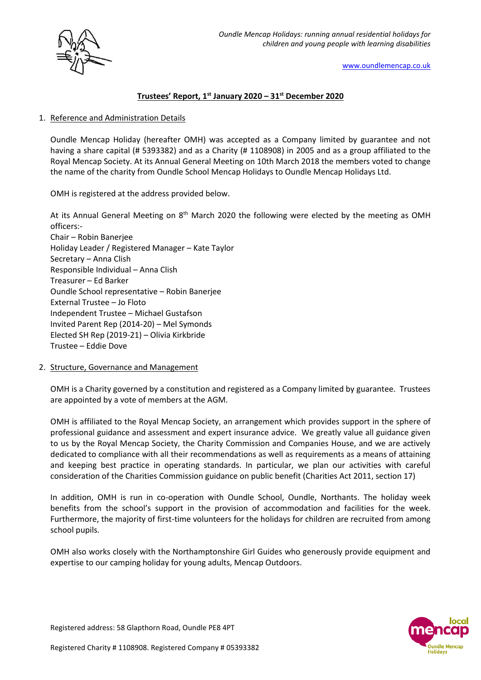



[www.oundlemencap.co.uk](http://www.oundlemencap.co.uk/)

# **Trustees' Report, 1st January 2020 – 31st December 2020**

## 1. Reference and Administration Details

Oundle Mencap Holiday (hereafter OMH) was accepted as a Company limited by guarantee and not having a share capital (# 5393382) and as a Charity (# 1108908) in 2005 and as a group affiliated to the Royal Mencap Society. At its Annual General Meeting on 10th March 2018 the members voted to change the name of the charity from Oundle School Mencap Holidays to Oundle Mencap Holidays Ltd.

OMH is registered at the address provided below.

At its Annual General Meeting on 8<sup>th</sup> March 2020 the following were elected by the meeting as OMH officers:-

Chair – Robin Banerjee Holiday Leader / Registered Manager – Kate Taylor Secretary – Anna Clish Responsible Individual – Anna Clish Treasurer – Ed Barker Oundle School representative – Robin Banerjee External Trustee – Jo Floto Independent Trustee – Michael Gustafson Invited Parent Rep (2014-20) – Mel Symonds Elected SH Rep (2019-21) – Olivia Kirkbride Trustee – Eddie Dove

2. Structure, Governance and Management

OMH is a Charity governed by a constitution and registered as a Company limited by guarantee. Trustees are appointed by a vote of members at the AGM.

OMH is affiliated to the Royal Mencap Society, an arrangement which provides support in the sphere of professional guidance and assessment and expert insurance advice. We greatly value all guidance given to us by the Royal Mencap Society, the Charity Commission and Companies House, and we are actively dedicated to compliance with all their recommendations as well as requirements as a means of attaining and keeping best practice in operating standards. In particular, we plan our activities with careful consideration of the Charities Commission guidance on public benefit (Charities Act 2011, section 17)

In addition, OMH is run in co-operation with Oundle School, Oundle, Northants. The holiday week benefits from the school's support in the provision of accommodation and facilities for the week. Furthermore, the majority of first-time volunteers for the holidays for children are recruited from among school pupils.

OMH also works closely with the Northamptonshire Girl Guides who generously provide equipment and expertise to our camping holiday for young adults, Mencap Outdoors.

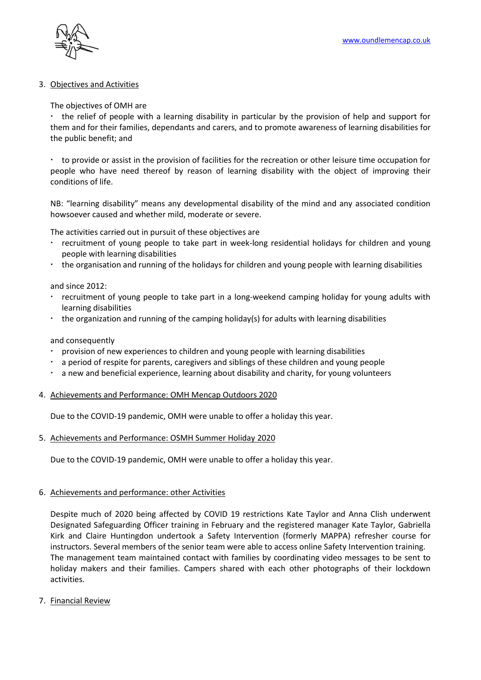

## 3. Objectives and Activities

## The objectives of OMH are

the relief of people with a learning disability in particular by the provision of help and support for them and for their families, dependants and carers, and to promote awareness of learning disabilities for the public benefit; and

 to provide or assist in the provision of facilities for the recreation or other leisure time occupation for people who have need thereof by reason of learning disability with the object of improving their conditions of life.

NB: "learning disability" means any developmental disability of the mind and any associated condition howsoever caused and whether mild, moderate or severe.

The activities carried out in pursuit of these objectives are

- recruitment of young people to take part in week-long residential holidays for children and young people with learning disabilities
- the organisation and running of the holidays for children and young people with learning disabilities

and since 2012:

- recruitment of young people to take part in a long-weekend camping holiday for young adults with learning disabilities
- the organization and running of the camping holiday(s) for adults with learning disabilities

#### and consequently

- provision of new experiences to children and young people with learning disabilities
- a period of respite for parents, caregivers and siblings of these children and young people
- a new and beneficial experience, learning about disability and charity, for young volunteers

#### 4. Achievements and Performance: OMH Mencap Outdoors 2020

Due to the COVID-19 pandemic, OMH were unable to offer a holiday this year.

#### 5. Achievements and Performance: OSMH Summer Holiday 2020

Due to the COVID-19 pandemic, OMH were unable to offer a holiday this year.

#### 6. Achievements and performance: other Activities

Despite much of 2020 being affected by COVID 19 restrictions Kate Taylor and Anna Clish underwent Designated Safeguarding Officer training in February and the registered manager Kate Taylor, Gabriella Kirk and Claire Huntingdon undertook a Safety Intervention (formerly MAPPA) refresher course for instructors. Several members of the senior team were able to access online Safety Intervention training. The management team maintained contact with families by coordinating video messages to be sent to holiday makers and their families. Campers shared with each other photographs of their lockdown activities.

7. Financial Review